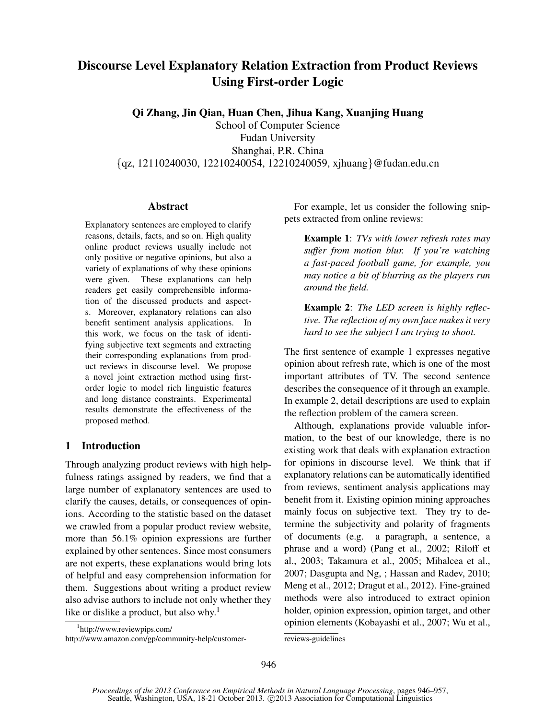# Discourse Level Explanatory Relation Extraction from Product Reviews Using First-order Logic

Qi Zhang, Jin Qian, Huan Chen, Jihua Kang, Xuanjing Huang

School of Computer Science Fudan University Shanghai, P.R. China *{*qz, 12110240030, 12210240054, 12210240059, xjhuang*}*@fudan.edu.cn

## Abstract

Explanatory sentences are employed to clarify reasons, details, facts, and so on. High quality online product reviews usually include not only positive or negative opinions, but also a variety of explanations of why these opinions were given. These explanations can help readers get easily comprehensible information of the discussed products and aspects. Moreover, explanatory relations can also benefit sentiment analysis applications. In this work, we focus on the task of identifying subjective text segments and extracting their corresponding explanations from product reviews in discourse level. We propose a novel joint extraction method using firstorder logic to model rich linguistic features and long distance constraints. Experimental results demonstrate the effectiveness of the proposed method.

# 1 Introduction

Through analyzing product reviews with high helpfulness ratings assigned by readers, we find that a large number of explanatory sentences are used to clarify the causes, details, or consequences of opinions. According to the statistic based on the dataset we crawled from a popular product review website, more than 56.1% opinion expressions are further explained by other sentences. Since most consumers are not experts, these explanations would bring lots of helpful and easy comprehension information for them. Suggestions about writing a product review also advise authors to include not only whether they like or dislike a product, but also why.<sup>1</sup>

1 http://www.reviewpips.com/ http://www.amazon.com/gp/community-help/customer-

For example, let us consider the following snippets extracted from online reviews:

Example 1: *TVs with lower refresh rates may suffer from motion blur. If you're watching a fast-paced football game, for example, you may notice a bit of blurring as the players run around the field.*

Example 2: *The LED screen is highly reflective. The reflection of my own face makes it very hard to see the subject I am trying to shoot.*

The first sentence of example 1 expresses negative opinion about refresh rate, which is one of the most important attributes of TV. The second sentence describes the consequence of it through an example. In example 2, detail descriptions are used to explain the reflection problem of the camera screen.

Although, explanations provide valuable information, to the best of our knowledge, there is no existing work that deals with explanation extraction for opinions in discourse level. We think that if explanatory relations can be automatically identified from reviews, sentiment analysis applications may benefit from it. Existing opinion mining approaches mainly focus on subjective text. They try to determine the subjectivity and polarity of fragments of documents (e.g. a paragraph, a sentence, a phrase and a word) (Pang et al., 2002; Riloff et al., 2003; Takamura et al., 2005; Mihalcea et al., 2007; Dasgupta and Ng, ; Hassan and Radev, 2010; Meng et al., 2012; Dragut et al., 2012). Fine-grained methods were also introduced to extract opinion holder, opinion expression, opinion target, and other opinion elements (Kobayashi et al., 2007; Wu et al.,

reviews-guidelines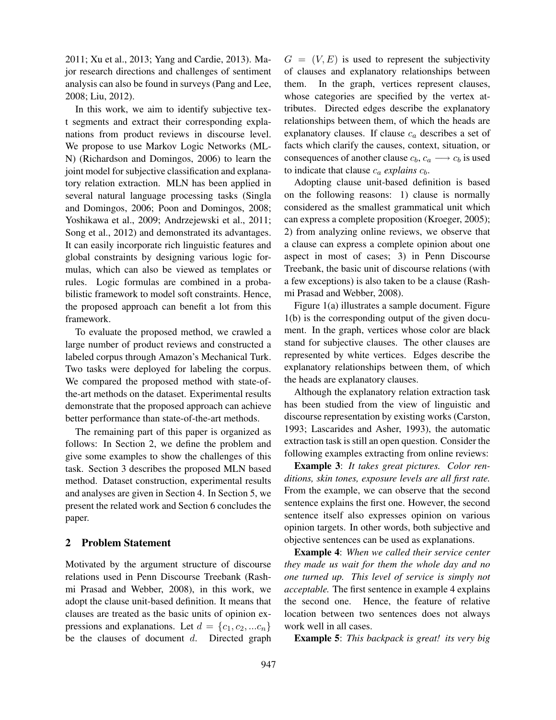2011; Xu et al., 2013; Yang and Cardie, 2013). Major research directions and challenges of sentiment analysis can also be found in surveys (Pang and Lee, 2008; Liu, 2012).

In this work, we aim to identify subjective text segments and extract their corresponding explanations from product reviews in discourse level. We propose to use Markov Logic Networks (ML-N) (Richardson and Domingos, 2006) to learn the joint model for subjective classification and explanatory relation extraction. MLN has been applied in several natural language processing tasks (Singla and Domingos, 2006; Poon and Domingos, 2008; Yoshikawa et al., 2009; Andrzejewski et al., 2011; Song et al., 2012) and demonstrated its advantages. It can easily incorporate rich linguistic features and global constraints by designing various logic formulas, which can also be viewed as templates or rules. Logic formulas are combined in a probabilistic framework to model soft constraints. Hence, the proposed approach can benefit a lot from this framework.

To evaluate the proposed method, we crawled a large number of product reviews and constructed a labeled corpus through Amazon's Mechanical Turk. Two tasks were deployed for labeling the corpus. We compared the proposed method with state-ofthe-art methods on the dataset. Experimental results demonstrate that the proposed approach can achieve better performance than state-of-the-art methods.

The remaining part of this paper is organized as follows: In Section 2, we define the problem and give some examples to show the challenges of this task. Section 3 describes the proposed MLN based method. Dataset construction, experimental results and analyses are given in Section 4. In Section 5, we present the related work and Section 6 concludes the paper.

## 2 Problem Statement

Motivated by the argument structure of discourse relations used in Penn Discourse Treebank (Rashmi Prasad and Webber, 2008), in this work, we adopt the clause unit-based definition. It means that clauses are treated as the basic units of opinion expressions and explanations. Let  $d = \{c_1, c_2, ... c_n\}$ be the clauses of document *d*. Directed graph  $G = (V, E)$  is used to represent the subjectivity of clauses and explanatory relationships between them. In the graph, vertices represent clauses, whose categories are specified by the vertex attributes. Directed edges describe the explanatory relationships between them, of which the heads are explanatory clauses. If clause *c<sup>a</sup>* describes a set of facts which clarify the causes, context, situation, or consequences of another clause  $c_b$ ,  $c_a \rightarrow c_b$  is used to indicate that clause  $c_a$  *explains*  $c_b$ .

Adopting clause unit-based definition is based on the following reasons: 1) clause is normally considered as the smallest grammatical unit which can express a complete proposition (Kroeger, 2005); 2) from analyzing online reviews, we observe that a clause can express a complete opinion about one aspect in most of cases; 3) in Penn Discourse Treebank, the basic unit of discourse relations (with a few exceptions) is also taken to be a clause (Rashmi Prasad and Webber, 2008).

Figure 1(a) illustrates a sample document. Figure 1(b) is the corresponding output of the given document. In the graph, vertices whose color are black stand for subjective clauses. The other clauses are represented by white vertices. Edges describe the explanatory relationships between them, of which the heads are explanatory clauses.

Although the explanatory relation extraction task has been studied from the view of linguistic and discourse representation by existing works (Carston, 1993; Lascarides and Asher, 1993), the automatic extraction task is still an open question. Consider the following examples extracting from online reviews:

Example 3: *It takes great pictures. Color renditions, skin tones, exposure levels are all first rate.* From the example, we can observe that the second sentence explains the first one. However, the second sentence itself also expresses opinion on various opinion targets. In other words, both subjective and objective sentences can be used as explanations.

Example 4: *When we called their service center they made us wait for them the whole day and no one turned up. This level of service is simply not acceptable.* The first sentence in example 4 explains the second one. Hence, the feature of relative location between two sentences does not always work well in all cases.

Example 5: *This backpack is great! its very big*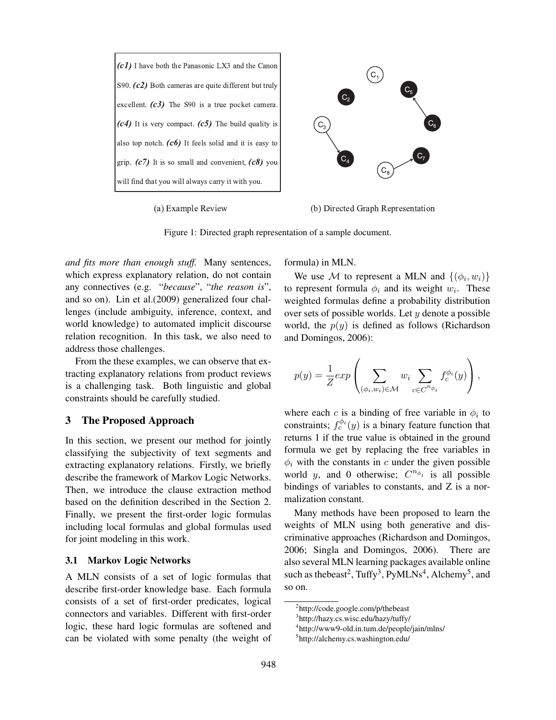

(a) Example Review (b) Directed Graph Representation

Figure 1: Directed graph representation of a sample document.

*and fits more than enough stuff.* Many sentences, which express explanatory relation, do not contain any connectives (e.g. "*because*", "*the reason is*", and so on). Lin et al.(2009) generalized four challenges (include ambiguity, inference, context, and world knowledge) to automated implicit discourse relation recognition. In this task, we also need to address those challenges.

From the these examples, we can observe that extracting explanatory relations from product reviews is a challenging task. Both linguistic and global constraints should be carefully studied.

#### 3 The Proposed Approach

In this section, we present our method for jointly classifying the subjectivity of text segments and extracting explanatory relations. Firstly, we briefly describe the framework of Markov Logic Networks. Then, we introduce the clause extraction method based on the definition described in the Section 2. Finally, we present the first-order logic formulas including local formulas and global formulas used for joint modeling in this work.

#### 3.1 Markov Logic Networks

A MLN consists of a set of logic formulas that describe first-order knowledge base. Each formula consists of a set of first-order predicates, logical connectors and variables. Different with first-order logic, these hard logic formulas are softened and can be violated with some penalty (the weight of formula) in MLN.

We use *M* to represent a MLN and  $\{(\phi_i, w_i)\}$ to represent formula  $\phi_i$  and its weight  $w_i$ . These weighted formulas define a probability distribution over sets of possible worlds. Let *y* denote a possible world, the  $p(y)$  is defined as follows (Richardson and Domingos, 2006):

$$
p(y) = \frac{1}{Z} exp\left(\sum_{(\phi_i, w_i) \in \mathcal{M}} w_i \sum_{c \in C^{n_{\phi_i}}} f_c^{\phi_i}(y)\right),
$$

where each *c* is a binding of free variable in  $\phi_i$  to constraints;  $f_c^{\phi_i}(y)$  is a binary feature function that returns 1 if the true value is obtained in the ground formula we get by replacing the free variables in  $\phi_i$  with the constants in *c* under the given possible world *y*, and 0 otherwise;  $C^{n_{\phi_i}}$  is all possible bindings of variables to constants, and Z is a normalization constant.

Many methods have been proposed to learn the weights of MLN using both generative and discriminative approaches (Richardson and Domingos, 2006; Singla and Domingos, 2006). There are also several MLN learning packages available online such as the beast<sup>2</sup>, Tuffy<sup>3</sup>, PyMLNs<sup>4</sup>, Alchemy<sup>5</sup>, and so on.

<sup>2</sup> http://code.google.com/p/thebeast

<sup>3</sup> http://hazy.cs.wisc.edu/hazy/tuffy/

<sup>4</sup> http://www9-old.in.tum.de/people/jain/mlns/

<sup>5</sup> http://alchemy.cs.washington.edu/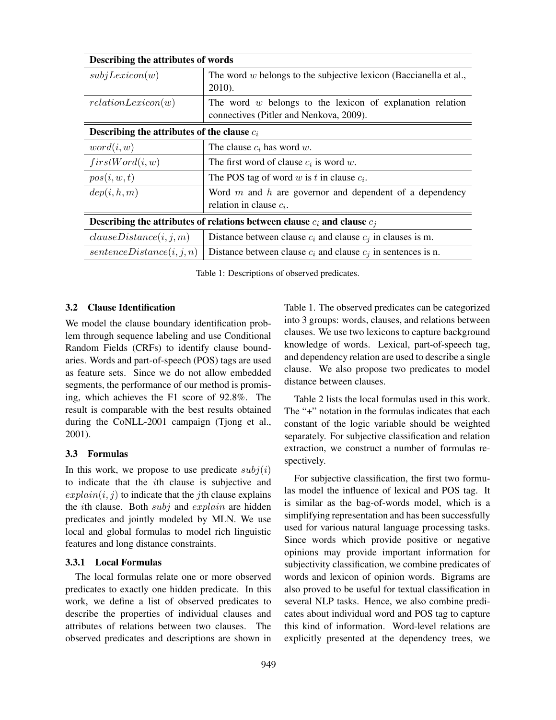| Describing the attributes of words                                           |                                                                                                        |  |  |  |  |
|------------------------------------------------------------------------------|--------------------------------------------------------------------------------------------------------|--|--|--|--|
| subjLexicon(w)                                                               | The word $w$ belongs to the subjective lexicon (Baccianella et al.,<br>$2010$ ).                       |  |  |  |  |
| relationLexicon(w)                                                           | The word $w$ belongs to the lexicon of explanation relation<br>connectives (Pitler and Nenkova, 2009). |  |  |  |  |
| Describing the attributes of the clause $c_i$                                |                                                                                                        |  |  |  |  |
| word(i, w)                                                                   | The clause $c_i$ has word w.                                                                           |  |  |  |  |
| firstWord(i, w)                                                              | The first word of clause $c_i$ is word w.                                                              |  |  |  |  |
| pos(i, w, t)                                                                 | The POS tag of word w is t in clause $c_i$ .                                                           |  |  |  |  |
| dep(i, h, m)                                                                 | Word $m$ and $h$ are governor and dependent of a dependency<br>relation in clause $c_i$ .              |  |  |  |  |
| Describing the attributes of relations between clause $c_i$ and clause $c_i$ |                                                                                                        |  |  |  |  |
| clauseDistance(i, j, m)                                                      | Distance between clause $c_i$ and clause $c_j$ in clauses is m.                                        |  |  |  |  |
| sentenceDistance(i, j, n)                                                    | Distance between clause $c_i$ and clause $c_j$ in sentences is n.                                      |  |  |  |  |

Table 1: Descriptions of observed predicates.

#### 3.2 Clause Identification

We model the clause boundary identification problem through sequence labeling and use Conditional Random Fields (CRFs) to identify clause boundaries. Words and part-of-speech (POS) tags are used as feature sets. Since we do not allow embedded segments, the performance of our method is promising, which achieves the F1 score of 92.8%. The result is comparable with the best results obtained during the CoNLL-2001 campaign (Tjong et al., 2001).

## 3.3 Formulas

In this work, we propose to use predicate  $subj(i)$ to indicate that the *i*th clause is subjective and  $explain(i, j)$  to indicate that the *j*th clause explains the *i*th clause. Both *subj* and *explain* are hidden predicates and jointly modeled by MLN. We use local and global formulas to model rich linguistic features and long distance constraints.

#### 3.3.1 Local Formulas

The local formulas relate one or more observed predicates to exactly one hidden predicate. In this work, we define a list of observed predicates to describe the properties of individual clauses and attributes of relations between two clauses. The observed predicates and descriptions are shown in Table 1. The observed predicates can be categorized into 3 groups: words, clauses, and relations between clauses. We use two lexicons to capture background knowledge of words. Lexical, part-of-speech tag, and dependency relation are used to describe a single clause. We also propose two predicates to model distance between clauses.

Table 2 lists the local formulas used in this work. The "+" notation in the formulas indicates that each constant of the logic variable should be weighted separately. For subjective classification and relation extraction, we construct a number of formulas respectively.

For subjective classification, the first two formulas model the influence of lexical and POS tag. It is similar as the bag-of-words model, which is a simplifying representation and has been successfully used for various natural language processing tasks. Since words which provide positive or negative opinions may provide important information for subjectivity classification, we combine predicates of words and lexicon of opinion words. Bigrams are also proved to be useful for textual classification in several NLP tasks. Hence, we also combine predicates about individual word and POS tag to capture this kind of information. Word-level relations are explicitly presented at the dependency trees, we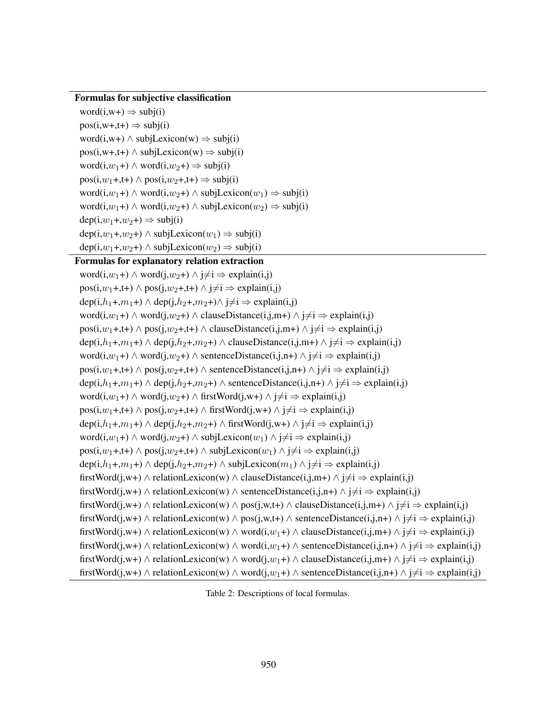## Formulas for subjective classification

```
word(i, w+) \Rightarrow subj(i)pos(i, w+, t+) \Rightarrow subj(i)word(i,w+) \land subjLexicon(w) \Rightarrow subj(i)
pos(i, w+, t+) \wedge subjLexicon(w) \Rightarrow subj(i)word(i, w_1+) \land word(i, w_2+) \Rightarrow subj(i)
pos(i, w_1+, t+) \wedge pos(i, w_2+, t+) \Rightarrow subj(i)word(i,w<sub>1</sub>+) ∧ word(i,w<sub>2</sub>+) ∧ subjLexicon(w<sub>1</sub>) \Rightarrow subj(i)
word(i, w_1 +) ∧ word(i, w_2 +) ∧ subjLexicon(w_2) \Rightarrow subj(i)
dep(i, w_1+, w_2+) \Rightarrow subj(i)dep(i, w<sub>1</sub>+, w<sub>2</sub>+) ∧ subjLexicon(w<sub>1</sub>) ⇒ subj(i)dep(i, w_1+, w_2+) \wedge subjLexicon(w_2) \Rightarrow subj(i)
```
#### Formulas for explanatory relation extraction

word( $i, w_1 +$ ) ∧ word( $j, w_2 +$ ) ∧  $j \neq i$   $\Rightarrow$  explain( $i, j$ )  $pos(i, w_1 + t+)$  *∧*  $pos(j, w_2 + t+)$  *∧*  $j \neq i$   $\Rightarrow$  explain(i,j) dep(i, $h_1$ +, $m_1$ +) ∧ dep(j, $h_2$ +, $m_2$ +)∧ j≠i  $\Rightarrow$  explain(i,j) word( $i, w_1 +$ ) *∧* word( $j, w_2 +$ ) *∧* clauseDistance( $i, j, m+$ ) *∧*  $j \neq i$   $\Rightarrow$  explain( $i, j$ ) pos(i,*w*<sub>1</sub>+,t+)  $\land$  pos(j,*w*<sub>2</sub>+,t+)  $\land$  clauseDistance(i,j,m+)  $\land$  j≠i  $\Rightarrow$  explain(i,j) dep(i, $h_1$ +, $m_1$ +) ∧ dep(j, $h_2$ +, $m_2$ +) ∧ clauseDistance(i,j,m+) ∧ j≠i  $\Rightarrow$  explain(i,j) word( $i, w_1 +$ )  $\land$  word( $i, w_2 +$ )  $\land$  sentenceDistance( $i, j, n+$ )  $\land$   $j \neq i$  ⇒ explain( $i, j$ ) pos( $i, w_1$ +,t+) *∧* pos( $j, w_2$ +,t+) *∧* sentenceDistance( $i, j, n$ +) *∧*  $j \neq i$   $\Rightarrow$  explain( $i, j$ ) dep(i, $h_1 +$ ,*m*<sub>1</sub>+) ∧ dep(i, $h_2 +$ ,*m*<sub>2</sub>+) ∧ sentenceDistance(i,j,n+) ∧ j≠i  $\Rightarrow$  explain(i,j) word( $i, w_1 +$ ) ∧ word( $j, w_2 +$ ) ∧ firstWord( $j, w_1 +$ ) ∧  $j \neq i$   $\Rightarrow$  explain( $i, j$ ) pos( $i, w_1$ +,t+) *∧* pos( $j, w_2$ +,t+) *∧* firstWord( $j, w$ +) *∧*  $j \neq i$   $\Rightarrow$  explain( $i, j$ ) dep(i, $h_1$ +, $m_1$ +) ∧ dep(j, $h_2$ +, $m_2$ +) ∧ firstWord(j,w+) ∧ j≠i  $\Rightarrow$  explain(i,j) word( $i, w_1 +$ ) *∧* word( $j, w_2 +$ ) *∧* subjLexicon( $w_1$ ) *∧*  $j \neq i$   $\Rightarrow$  explain( $i, j$ ) pos( $i, w_1$ +,t+)  $\land$  pos( $i, w_2$ +,t+)  $\land$  subjLexicon( $w_1$ )  $\land$   $\neq$ i  $\Rightarrow$  explain( $i, j$ ) dep(i, $h_1$ +, $m_1$ +) ∧ dep(j, $h_2$ +, $m_2$ +) ∧ subjLexicon( $m_1$ ) ∧ j≠i  $\Rightarrow$  explain(i,j) firstWord(j,w+) *∧* relationLexicon(w) *∧* clauseDistance(i,j,m+) *∧* j*̸*=i *⇒* explain(i,j) firstWord(j,w+) *∧* relationLexicon(w) *∧* sentenceDistance(i,j,n+) *∧* j*̸*=i *⇒* explain(i,j) firstWord(j,w+)  $\land$  relationLexicon(w)  $\land$  pos(j,w,t+)  $\land$  clauseDistance(i,j,m+)  $\land$  j $\neq$ i  $\Rightarrow$  explain(i,j) firstWord(j,w+)  $\land$  relationLexicon(w)  $\land$  pos(j,w,t+)  $\land$  sentenceDistance(i,j,n+)  $\land$  j≠i  $\Rightarrow$  explain(i,j) firstWord(j,w+)  $\land$  relationLexicon(w)  $\land$  word(i,w<sub>1</sub>+)  $\land$  clauseDistance(i,j,m+)  $\land$  j≠i  $\Rightarrow$  explain(i,j) firstWord(j,w+)  $\land$  relationLexicon(w)  $\land$  word(i,w<sub>1</sub>+)  $\land$  sentenceDistance(i,j,n+)  $\land$  j≠i  $\Rightarrow$  explain(i,j) firstWord(j,w+)  $\land$  relationLexicon(w)  $\land$  word(j,w<sub>1</sub>+)  $\land$  clauseDistance(i,j,m+)  $\land$  j $\neq$ i  $\Rightarrow$  explain(i,j) firstWord(j,w+)  $\land$  relationLexicon(w)  $\land$  word(j,w<sub>1</sub>+)  $\land$  sentenceDistance(i,j,n+)  $\land$  j≠i  $\Rightarrow$  explain(i,j)

Table 2: Descriptions of local formulas.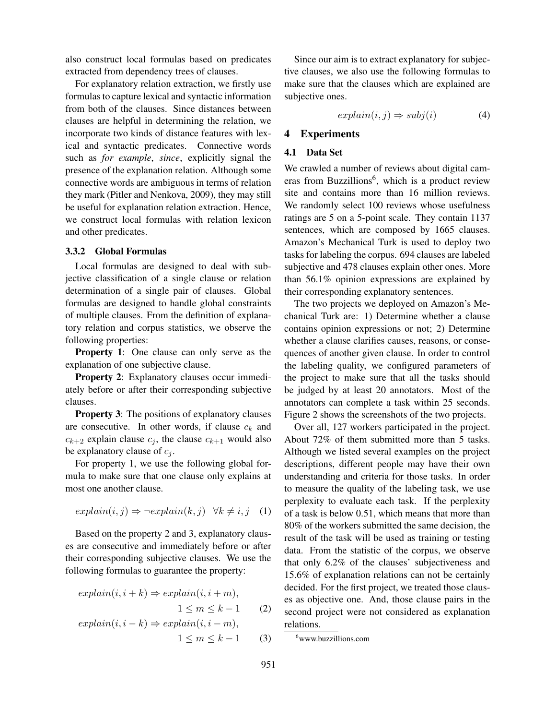also construct local formulas based on predicates extracted from dependency trees of clauses.

For explanatory relation extraction, we firstly use formulas to capture lexical and syntactic information from both of the clauses. Since distances between clauses are helpful in determining the relation, we incorporate two kinds of distance features with lexical and syntactic predicates. Connective words such as *for example*, *since*, explicitly signal the presence of the explanation relation. Although some connective words are ambiguous in terms of relation they mark (Pitler and Nenkova, 2009), they may still be useful for explanation relation extraction. Hence, we construct local formulas with relation lexicon and other predicates.

#### 3.3.2 Global Formulas

Local formulas are designed to deal with subjective classification of a single clause or relation determination of a single pair of clauses. Global formulas are designed to handle global constraints of multiple clauses. From the definition of explanatory relation and corpus statistics, we observe the following properties:

Property 1: One clause can only serve as the explanation of one subjective clause.

Property 2: Explanatory clauses occur immediately before or after their corresponding subjective clauses.

Property 3: The positions of explanatory clauses are consecutive. In other words, if clause  $c_k$  and  $c_{k+2}$  explain clause  $c_j$ , the clause  $c_{k+1}$  would also be explanatory clause of  $c_j$ .

For property 1, we use the following global formula to make sure that one clause only explains at most one another clause.

$$
explain(i, j) \Rightarrow \neg explain(k, j) \quad \forall k \neq i, j \quad (1)
$$

Based on the property 2 and 3, explanatory clauses are consecutive and immediately before or after their corresponding subjective clauses. We use the following formulas to guarantee the property:

$$
explain(i, i + k) \Rightarrow explain(i, i + m),
$$
  
\n
$$
1 \le m \le k - 1
$$
 (2)  
\n
$$
explain(i, i - k) \Rightarrow explain(i, i - m),
$$
  
\n
$$
1 \le m \le k - 1
$$
 (3)

Since our aim is to extract explanatory for subjective clauses, we also use the following formulas to make sure that the clauses which are explained are subjective ones.

$$
explain(i, j) \Rightarrow subj(i) \tag{4}
$$

## 4 Experiments

#### 4.1 Data Set

We crawled a number of reviews about digital cameras from Buzzillions<sup>6</sup>, which is a product review site and contains more than 16 million reviews. We randomly select 100 reviews whose usefulness ratings are 5 on a 5-point scale. They contain 1137 sentences, which are composed by 1665 clauses. Amazon's Mechanical Turk is used to deploy two tasks for labeling the corpus. 694 clauses are labeled subjective and 478 clauses explain other ones. More than 56.1% opinion expressions are explained by their corresponding explanatory sentences.

The two projects we deployed on Amazon's Mechanical Turk are: 1) Determine whether a clause contains opinion expressions or not; 2) Determine whether a clause clarifies causes, reasons, or consequences of another given clause. In order to control the labeling quality, we configured parameters of the project to make sure that all the tasks should be judged by at least 20 annotators. Most of the annotators can complete a task within 25 seconds. Figure 2 shows the screenshots of the two projects.

Over all, 127 workers participated in the project. About 72% of them submitted more than 5 tasks. Although we listed several examples on the project descriptions, different people may have their own understanding and criteria for those tasks. In order to measure the quality of the labeling task, we use perplexity to evaluate each task. If the perplexity of a task is below 0.51, which means that more than 80% of the workers submitted the same decision, the result of the task will be used as training or testing data. From the statistic of the corpus, we observe that only 6.2% of the clauses' subjectiveness and 15.6% of explanation relations can not be certainly decided. For the first project, we treated those clauses as objective one. And, those clause pairs in the second project were not considered as explanation relations.

<sup>6</sup>www.buzzillions.com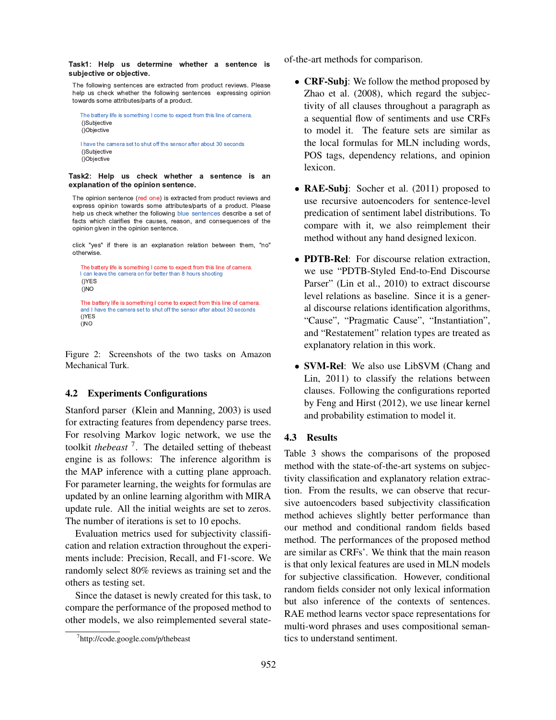Task1: Help us determine whether a sentence is subjective or objective.

The following sentences are extracted from product reviews. Please help us check whether the following sentences expressing opinion towards some attributes/parts of a product.

 The battery life is something I come to expect from this line of camera. ()Subjective ()Objective

 I have the camera set to shut off the sensor after about 30 seconds ()Subjective ()Objective

Task2: Help us check whether a sentence is an explanation of the opinion sentence.

The opinion sentence (red one) is extracted from product reviews and express opinion towards some attributes/parts of a product. Please help us check whether the following blue sentences describe a set of facts which clarifies the causes, reason, and consequences of the opinion given in the opinion sentence.

click "yes" if there is an explanation relation between them, "no" otherwise.

```
The battery life is something I come to expect from this line of camera.
I can leave the camera on for better than 8 hours shooting
 ()YES 
 ()NO 
 The battery life is something I come to expect from this line of camera.
 and I have the camera set to shut off the sensor after about 30 seconds 
 ()YES 
 ()NO
```
Figure 2: Screenshots of the two tasks on Amazon Mechanical Turk.

#### 4.2 Experiments Configurations

Stanford parser (Klein and Manning, 2003) is used for extracting features from dependency parse trees. For resolving Markov logic network, we use the toolkit *thebeast* <sup>7</sup> . The detailed setting of thebeast engine is as follows: The inference algorithm is the MAP inference with a cutting plane approach. For parameter learning, the weights for formulas are updated by an online learning algorithm with MIRA update rule. All the initial weights are set to zeros. The number of iterations is set to 10 epochs.

Evaluation metrics used for subjectivity classification and relation extraction throughout the experiments include: Precision, Recall, and F1-score. We randomly select 80% reviews as training set and the others as testing set.

Since the dataset is newly created for this task, to compare the performance of the proposed method to other models, we also reimplemented several stateof-the-art methods for comparison.

- CRF-Subj: We follow the method proposed by Zhao et al. (2008), which regard the subjectivity of all clauses throughout a paragraph as a sequential flow of sentiments and use CRFs to model it. The feature sets are similar as the local formulas for MLN including words, POS tags, dependency relations, and opinion lexicon.
- **RAE-Subj**: Socher et al. (2011) proposed to use recursive autoencoders for sentence-level predication of sentiment label distributions. To compare with it, we also reimplement their method without any hand designed lexicon.
- *•* PDTB-Rel: For discourse relation extraction, we use "PDTB-Styled End-to-End Discourse Parser" (Lin et al., 2010) to extract discourse level relations as baseline. Since it is a general discourse relations identification algorithms, "Cause", "Pragmatic Cause", "Instantiation", and "Restatement" relation types are treated as explanatory relation in this work.
- **SVM-Rel**: We also use LibSVM (Chang and Lin, 2011) to classify the relations between clauses. Following the configurations reported by Feng and Hirst (2012), we use linear kernel and probability estimation to model it.

#### 4.3 Results

Table 3 shows the comparisons of the proposed method with the state-of-the-art systems on subjectivity classification and explanatory relation extraction. From the results, we can observe that recursive autoencoders based subjectivity classification method achieves slightly better performance than our method and conditional random fields based method. The performances of the proposed method are similar as CRFs'. We think that the main reason is that only lexical features are used in MLN models for subjective classification. However, conditional random fields consider not only lexical information but also inference of the contexts of sentences. RAE method learns vector space representations for multi-word phrases and uses compositional semantics to understand sentiment.

<sup>7</sup> http://code.google.com/p/thebeast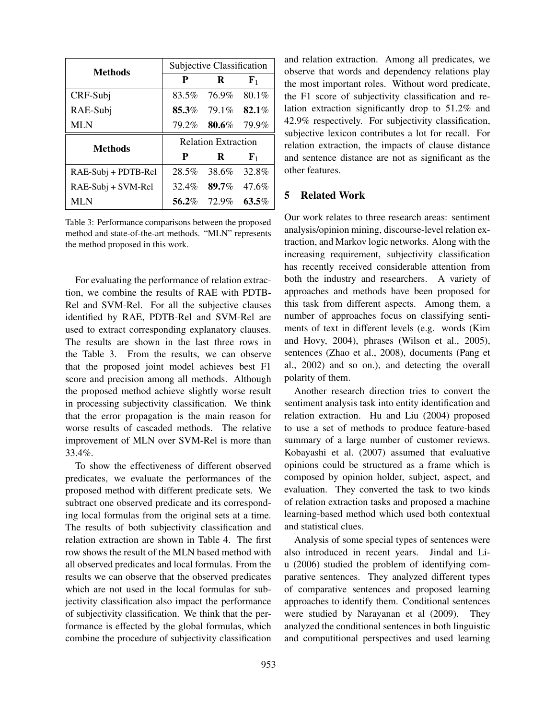| <b>Methods</b>      | Subjective Classification |                            |             |  |  |
|---------------------|---------------------------|----------------------------|-------------|--|--|
|                     | P                         | R                          | ${\bf F}_1$ |  |  |
| CRF-Subj            | 83.5%                     | 76.9%                      | $80.1\%$    |  |  |
| RAE-Subj            | 85.3%                     | 79.1%                      | 82.1%       |  |  |
| <b>MLN</b>          | 79.2%                     | 80.6%                      | 79.9%       |  |  |
|                     |                           |                            |             |  |  |
|                     |                           | <b>Relation Extraction</b> |             |  |  |
| <b>Methods</b>      | P                         | R                          | ${\bf F}_1$ |  |  |
| RAE-Subj + PDTB-Rel | 28.5%                     | 38.6%                      | 32.8%       |  |  |
| RAE-Subj + SVM-Rel  | 32.4%                     | 89.7%                      | $47.6\%$    |  |  |

Table 3: Performance comparisons between the proposed method and state-of-the-art methods. "MLN" represents the method proposed in this work.

For evaluating the performance of relation extraction, we combine the results of RAE with PDTB-Rel and SVM-Rel. For all the subjective clauses identified by RAE, PDTB-Rel and SVM-Rel are used to extract corresponding explanatory clauses. The results are shown in the last three rows in the Table 3. From the results, we can observe that the proposed joint model achieves best F1 score and precision among all methods. Although the proposed method achieve slightly worse result in processing subjectivity classification. We think that the error propagation is the main reason for worse results of cascaded methods. The relative improvement of MLN over SVM-Rel is more than 33.4%.

To show the effectiveness of different observed predicates, we evaluate the performances of the proposed method with different predicate sets. We subtract one observed predicate and its corresponding local formulas from the original sets at a time. The results of both subjectivity classification and relation extraction are shown in Table 4. The first row shows the result of the MLN based method with all observed predicates and local formulas. From the results we can observe that the observed predicates which are not used in the local formulas for subjectivity classification also impact the performance of subjectivity classification. We think that the performance is effected by the global formulas, which combine the procedure of subjectivity classification

and relation extraction. Among all predicates, we observe that words and dependency relations play the most important roles. Without word predicate, the F1 score of subjectivity classification and relation extraction significantly drop to 51.2% and 42.9% respectively. For subjectivity classification, subjective lexicon contributes a lot for recall. For relation extraction, the impacts of clause distance and sentence distance are not as significant as the other features.

## 5 Related Work

Our work relates to three research areas: sentiment analysis/opinion mining, discourse-level relation extraction, and Markov logic networks. Along with the increasing requirement, subjectivity classification has recently received considerable attention from both the industry and researchers. A variety of approaches and methods have been proposed for this task from different aspects. Among them, a number of approaches focus on classifying sentiments of text in different levels (e.g. words (Kim and Hovy, 2004), phrases (Wilson et al., 2005), sentences (Zhao et al., 2008), documents (Pang et al., 2002) and so on.), and detecting the overall polarity of them.

Another research direction tries to convert the sentiment analysis task into entity identification and relation extraction. Hu and Liu (2004) proposed to use a set of methods to produce feature-based summary of a large number of customer reviews. Kobayashi et al. (2007) assumed that evaluative opinions could be structured as a frame which is composed by opinion holder, subject, aspect, and evaluation. They converted the task to two kinds of relation extraction tasks and proposed a machine learning-based method which used both contextual and statistical clues.

Analysis of some special types of sentences were also introduced in recent years. Jindal and Liu (2006) studied the problem of identifying comparative sentences. They analyzed different types of comparative sentences and proposed learning approaches to identify them. Conditional sentences were studied by Narayanan et al (2009). They analyzed the conditional sentences in both linguistic and computitional perspectives and used learning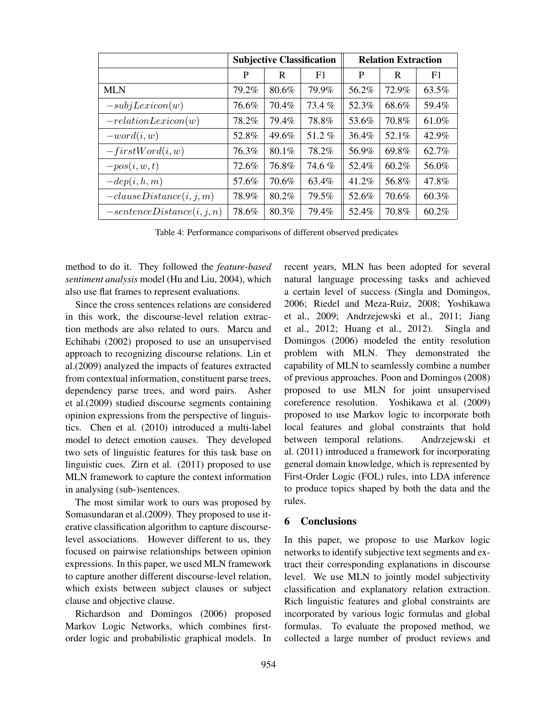|                              | <b>Subjective Classification</b> |       |       | <b>Relation Extraction</b> |       |          |
|------------------------------|----------------------------------|-------|-------|----------------------------|-------|----------|
|                              | P                                | R     | F1    | P                          | R     | F1       |
| <b>MLN</b>                   | 79.2%                            | 80.6% | 79.9% | 56.2%                      | 72.9% | 63.5%    |
| $-subjLexicon(w)$            | 76.6%                            | 70.4% | 73.4% | 52.3%                      | 68.6% | 59.4%    |
| $-relationLexicon(w)$        | 78.2%                            | 79.4% | 78.8% | 53.6%                      | 70.8% | 61.0%    |
| $-word(i, w)$                | 52.8%                            | 49.6% | 51.2% | 36.4%                      | 52.1% | 42.9%    |
| $-firstWord(i, w)$           | 76.3%                            | 80.1% | 78.2% | 56.9%                      | 69.8% | 62.7%    |
| $-pos(i, w, t)$              | 72.6%                            | 76.8% | 74.6% | 52.4%                      | 60.2% | 56.0%    |
| $-dep(i, h, m)$              | 57.6%                            | 70.6% | 63.4% | 41.2%                      | 56.8% | 47.8%    |
| $-clauseDistance(i, j, m)$   | 78.9%                            | 80.2% | 79.5% | 52.6%                      | 70.6% | 60.3%    |
| $-sentenceDistance(i, j, n)$ | 78.6%                            | 80.3% | 79.4% | 52.4%                      | 70.8% | $60.2\%$ |

Table 4: Performance comparisons of different observed predicates

method to do it. They followed the *feature-based sentiment analysis* model (Hu and Liu, 2004), which also use flat frames to represent evaluations.

Since the cross sentences relations are considered in this work, the discourse-level relation extraction methods are also related to ours. Marcu and Echihabi (2002) proposed to use an unsupervised approach to recognizing discourse relations. Lin et al.(2009) analyzed the impacts of features extracted from contextual information, constituent parse trees, dependency parse trees, and word pairs. Asher et al.(2009) studied discourse segments containing opinion expressions from the perspective of linguistics. Chen et al. (2010) introduced a multi-label model to detect emotion causes. They developed two sets of linguistic features for this task base on linguistic cues. Zirn et al. (2011) proposed to use MLN framework to capture the context information in analysing (sub-)sentences.

The most similar work to ours was proposed by Somasundaran et al.(2009). They proposed to use iterative classification algorithm to capture discourselevel associations. However different to us, they focused on pairwise relationships between opinion expressions. In this paper, we used MLN framework to capture another different discourse-level relation, which exists between subject clauses or subject clause and objective clause.

Richardson and Domingos (2006) proposed Markov Logic Networks, which combines firstorder logic and probabilistic graphical models. In recent years, MLN has been adopted for several natural language processing tasks and achieved a certain level of success (Singla and Domingos, 2006; Riedel and Meza-Ruiz, 2008; Yoshikawa et al., 2009; Andrzejewski et al., 2011; Jiang et al., 2012; Huang et al., 2012). Singla and Domingos (2006) modeled the entity resolution problem with MLN. They demonstrated the capability of MLN to seamlessly combine a number of previous approaches. Poon and Domingos (2008) proposed to use MLN for joint unsupervised coreference resolution. Yoshikawa et al. (2009) proposed to use Markov logic to incorporate both local features and global constraints that hold between temporal relations. Andrzejewski et al. (2011) introduced a framework for incorporating general domain knowledge, which is represented by First-Order Logic (FOL) rules, into LDA inference to produce topics shaped by both the data and the rules.

# 6 Conclusions

In this paper, we propose to use Markov logic networks to identify subjective text segments and extract their corresponding explanations in discourse level. We use MLN to jointly model subjectivity classification and explanatory relation extraction. Rich linguistic features and global constraints are incorporated by various logic formulas and global formulas. To evaluate the proposed method, we collected a large number of product reviews and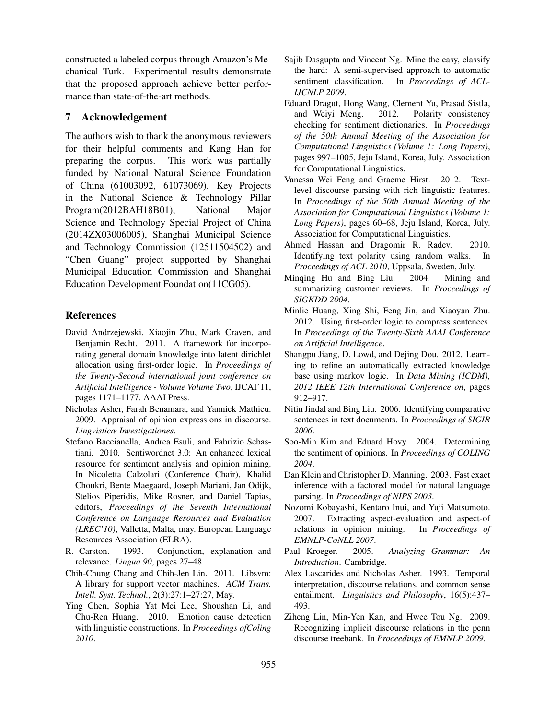constructed a labeled corpus through Amazon's Mechanical Turk. Experimental results demonstrate that the proposed approach achieve better performance than state-of-the-art methods.

## 7 Acknowledgement

The authors wish to thank the anonymous reviewers for their helpful comments and Kang Han for preparing the corpus. This work was partially funded by National Natural Science Foundation of China (61003092, 61073069), Key Projects in the National Science & Technology Pillar Program(2012BAH18B01), National Major Science and Technology Special Project of China (2014ZX03006005), Shanghai Municipal Science and Technology Commission (12511504502) and "Chen Guang" project supported by Shanghai Municipal Education Commission and Shanghai Education Development Foundation(11CG05).

#### References

- David Andrzejewski, Xiaojin Zhu, Mark Craven, and Benjamin Recht. 2011. A framework for incorporating general domain knowledge into latent dirichlet allocation using first-order logic. In *Proceedings of the Twenty-Second international joint conference on Artificial Intelligence - Volume Volume Two*, IJCAI'11, pages 1171–1177. AAAI Press.
- Nicholas Asher, Farah Benamara, and Yannick Mathieu. 2009. Appraisal of opinion expressions in discourse. *Lingvisticæ Investigationes*.
- Stefano Baccianella, Andrea Esuli, and Fabrizio Sebastiani. 2010. Sentiwordnet 3.0: An enhanced lexical resource for sentiment analysis and opinion mining. In Nicoletta Calzolari (Conference Chair), Khalid Choukri, Bente Maegaard, Joseph Mariani, Jan Odijk, Stelios Piperidis, Mike Rosner, and Daniel Tapias, editors, *Proceedings of the Seventh International Conference on Language Resources and Evaluation (LREC'10)*, Valletta, Malta, may. European Language Resources Association (ELRA).
- R. Carston. 1993. Conjunction, explanation and relevance. *Lingua 90*, pages 27–48.
- Chih-Chung Chang and Chih-Jen Lin. 2011. Libsvm: A library for support vector machines. *ACM Trans. Intell. Syst. Technol.*, 2(3):27:1–27:27, May.
- Ying Chen, Sophia Yat Mei Lee, Shoushan Li, and Chu-Ren Huang. 2010. Emotion cause detection with linguistic constructions. In *Proceedings ofColing 2010*.
- Sajib Dasgupta and Vincent Ng. Mine the easy, classify the hard: A semi-supervised approach to automatic sentiment classification. In *Proceedings of ACL-IJCNLP 2009*.
- Eduard Dragut, Hong Wang, Clement Yu, Prasad Sistla, and Weiyi Meng. 2012. Polarity consistency checking for sentiment dictionaries. In *Proceedings of the 50th Annual Meeting of the Association for Computational Linguistics (Volume 1: Long Papers)*, pages 997–1005, Jeju Island, Korea, July. Association for Computational Linguistics.
- Vanessa Wei Feng and Graeme Hirst. 2012. Textlevel discourse parsing with rich linguistic features. In *Proceedings of the 50th Annual Meeting of the Association for Computational Linguistics (Volume 1: Long Papers)*, pages 60–68, Jeju Island, Korea, July. Association for Computational Linguistics.
- Ahmed Hassan and Dragomir R. Radev. 2010. Identifying text polarity using random walks. In *Proceedings of ACL 2010*, Uppsala, Sweden, July.
- Minqing Hu and Bing Liu. 2004. Mining and summarizing customer reviews. In *Proceedings of SIGKDD 2004*.
- Minlie Huang, Xing Shi, Feng Jin, and Xiaoyan Zhu. 2012. Using first-order logic to compress sentences. In *Proceedings of the Twenty-Sixth AAAI Conference on Artificial Intelligence*.
- Shangpu Jiang, D. Lowd, and Dejing Dou. 2012. Learning to refine an automatically extracted knowledge base using markov logic. In *Data Mining (ICDM), 2012 IEEE 12th International Conference on*, pages 912–917.
- Nitin Jindal and Bing Liu. 2006. Identifying comparative sentences in text documents. In *Proceedings of SIGIR 2006*.
- Soo-Min Kim and Eduard Hovy. 2004. Determining the sentiment of opinions. In *Proceedings of COLING 2004*.
- Dan Klein and Christopher D. Manning. 2003. Fast exact inference with a factored model for natural language parsing. In *Proceedings of NIPS 2003*.
- Nozomi Kobayashi, Kentaro Inui, and Yuji Matsumoto. 2007. Extracting aspect-evaluation and aspect-of relations in opinion mining. In *Proceedings of EMNLP-CoNLL 2007*.
- Paul Kroeger. 2005. *Analyzing Grammar: An Introduction*. Cambridge.
- Alex Lascarides and Nicholas Asher. 1993. Temporal interpretation, discourse relations, and common sense entailment. *Linguistics and Philosophy*, 16(5):437– 493.
- Ziheng Lin, Min-Yen Kan, and Hwee Tou Ng. 2009. Recognizing implicit discourse relations in the penn discourse treebank. In *Proceedings of EMNLP 2009*.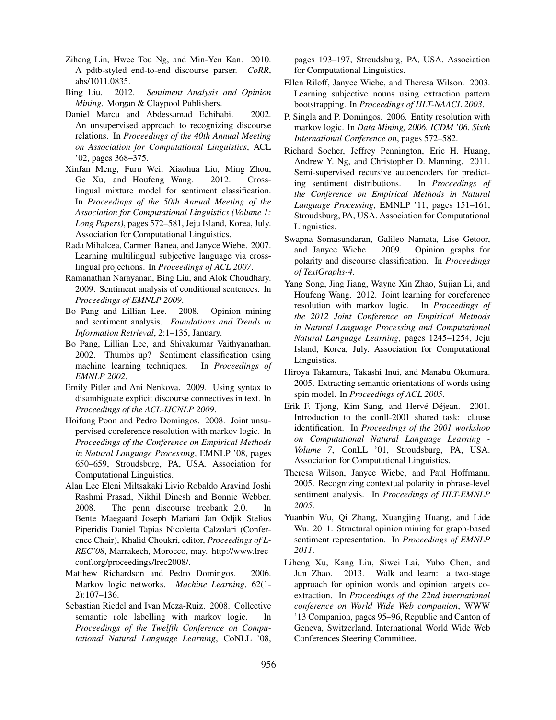- Ziheng Lin, Hwee Tou Ng, and Min-Yen Kan. 2010. A pdtb-styled end-to-end discourse parser. *CoRR*, abs/1011.0835.
- Bing Liu. 2012. *Sentiment Analysis and Opinion Mining*. Morgan & Claypool Publishers.
- Daniel Marcu and Abdessamad Echihabi. 2002. An unsupervised approach to recognizing discourse relations. In *Proceedings of the 40th Annual Meeting on Association for Computational Linguistics*, ACL '02, pages 368–375.
- Xinfan Meng, Furu Wei, Xiaohua Liu, Ming Zhou, Ge Xu, and Houfeng Wang. 2012. Crosslingual mixture model for sentiment classification. In *Proceedings of the 50th Annual Meeting of the Association for Computational Linguistics (Volume 1: Long Papers)*, pages 572–581, Jeju Island, Korea, July. Association for Computational Linguistics.
- Rada Mihalcea, Carmen Banea, and Janyce Wiebe. 2007. Learning multilingual subjective language via crosslingual projections. In *Proceedings of ACL 2007*.
- Ramanathan Narayanan, Bing Liu, and Alok Choudhary. 2009. Sentiment analysis of conditional sentences. In *Proceedings of EMNLP 2009*.
- Bo Pang and Lillian Lee. 2008. Opinion mining and sentiment analysis. *Foundations and Trends in Information Retrieval*, 2:1–135, January.
- Bo Pang, Lillian Lee, and Shivakumar Vaithyanathan. 2002. Thumbs up? Sentiment classification using machine learning techniques. In *Proceedings of EMNLP 2002*.
- Emily Pitler and Ani Nenkova. 2009. Using syntax to disambiguate explicit discourse connectives in text. In *Proceedings of the ACL-IJCNLP 2009*.
- Hoifung Poon and Pedro Domingos. 2008. Joint unsupervised coreference resolution with markov logic. In *Proceedings of the Conference on Empirical Methods in Natural Language Processing*, EMNLP '08, pages 650–659, Stroudsburg, PA, USA. Association for Computational Linguistics.
- Alan Lee Eleni Miltsakaki Livio Robaldo Aravind Joshi Rashmi Prasad, Nikhil Dinesh and Bonnie Webber. 2008. The penn discourse treebank 2.0. In Bente Maegaard Joseph Mariani Jan Odjik Stelios Piperidis Daniel Tapias Nicoletta Calzolari (Conference Chair), Khalid Choukri, editor, *Proceedings of L-REC'08*, Marrakech, Morocco, may. http://www.lrecconf.org/proceedings/lrec2008/.
- Matthew Richardson and Pedro Domingos. 2006. Markov logic networks. *Machine Learning*, 62(1- 2):107–136.
- Sebastian Riedel and Ivan Meza-Ruiz. 2008. Collective semantic role labelling with markov logic. In *Proceedings of the Twelfth Conference on Computational Natural Language Learning*, CoNLL '08,

pages 193–197, Stroudsburg, PA, USA. Association for Computational Linguistics.

- Ellen Riloff, Janyce Wiebe, and Theresa Wilson. 2003. Learning subjective nouns using extraction pattern bootstrapping. In *Proceedings of HLT-NAACL 2003*.
- P. Singla and P. Domingos. 2006. Entity resolution with markov logic. In *Data Mining, 2006. ICDM '06. Sixth International Conference on*, pages 572–582.
- Richard Socher, Jeffrey Pennington, Eric H. Huang, Andrew Y. Ng, and Christopher D. Manning. 2011. Semi-supervised recursive autoencoders for predicting sentiment distributions. In *Proceedings of the Conference on Empirical Methods in Natural Language Processing*, EMNLP '11, pages 151–161, Stroudsburg, PA, USA. Association for Computational Linguistics.
- Swapna Somasundaran, Galileo Namata, Lise Getoor, and Janyce Wiebe. 2009. Opinion graphs for polarity and discourse classification. In *Proceedings of TextGraphs-4*.
- Yang Song, Jing Jiang, Wayne Xin Zhao, Sujian Li, and Houfeng Wang. 2012. Joint learning for coreference resolution with markov logic. In *Proceedings of the 2012 Joint Conference on Empirical Methods in Natural Language Processing and Computational Natural Language Learning*, pages 1245–1254, Jeju Island, Korea, July. Association for Computational Linguistics.
- Hiroya Takamura, Takashi Inui, and Manabu Okumura. 2005. Extracting semantic orientations of words using spin model. In *Proceedings of ACL 2005*.
- Erik F. Tjong, Kim Sang, and Hervé Déjean. 2001. Introduction to the conll-2001 shared task: clause identification. In *Proceedings of the 2001 workshop on Computational Natural Language Learning - Volume 7*, ConLL '01, Stroudsburg, PA, USA. Association for Computational Linguistics.
- Theresa Wilson, Janyce Wiebe, and Paul Hoffmann. 2005. Recognizing contextual polarity in phrase-level sentiment analysis. In *Proceedings of HLT-EMNLP 2005*.
- Yuanbin Wu, Qi Zhang, Xuangjing Huang, and Lide Wu. 2011. Structural opinion mining for graph-based sentiment representation. In *Proceedings of EMNLP 2011*.
- Liheng Xu, Kang Liu, Siwei Lai, Yubo Chen, and Jun Zhao. 2013. Walk and learn: a two-stage approach for opinion words and opinion targets coextraction. In *Proceedings of the 22nd international conference on World Wide Web companion*, WWW '13 Companion, pages 95–96, Republic and Canton of Geneva, Switzerland. International World Wide Web Conferences Steering Committee.